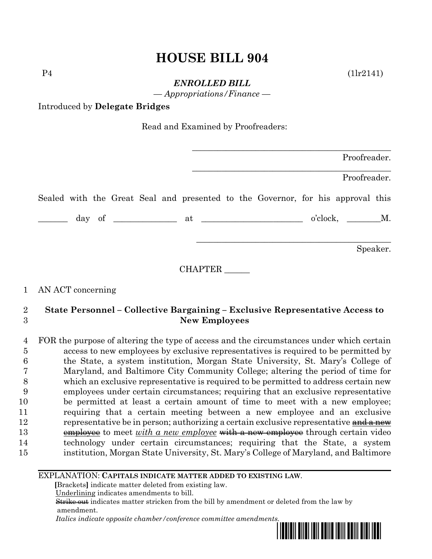# **HOUSE BILL 904**

 $P4$  (1lr2141)

*ENROLLED BILL*

*— Appropriations/Finance —*

Introduced by **Delegate Bridges**

Read and Examined by Proofreaders:

|                                                                                                                          | Proofreader.                                                                    |
|--------------------------------------------------------------------------------------------------------------------------|---------------------------------------------------------------------------------|
|                                                                                                                          | Proofreader.                                                                    |
|                                                                                                                          | Sealed with the Great Seal and presented to the Governor, for his approval this |
| $\frac{1}{\sqrt{1-\frac{1}{2}}}\int$ day of $\frac{1}{\sqrt{1-\frac{1}{2}}}\int$ at $\frac{1}{\sqrt{1-\frac{1}{2}}}\int$ | $o'clock, \t M.$                                                                |
|                                                                                                                          | Speaker.                                                                        |
| <b>CHAPTER</b>                                                                                                           |                                                                                 |

### 1 AN ACT concerning

## 2 **State Personnel – Collective Bargaining – Exclusive Representative Access to**  3 **New Employees**

 FOR the purpose of altering the type of access and the circumstances under which certain access to new employees by exclusive representatives is required to be permitted by the State, a system institution, Morgan State University, St. Mary's College of Maryland, and Baltimore City Community College; altering the period of time for which an exclusive representative is required to be permitted to address certain new employees under certain circumstances; requiring that an exclusive representative be permitted at least a certain amount of time to meet with a new employee; requiring that a certain meeting between a new employee and an exclusive 12 representative be in person; authorizing a certain exclusive representative **and a new**  employee to meet *with a new employee* with a new employee through certain video technology under certain circumstances; requiring that the State, a system institution, Morgan State University, St. Mary's College of Maryland, and Baltimore

#### EXPLANATION: **CAPITALS INDICATE MATTER ADDED TO EXISTING LAW**.

 **[**Brackets**]** indicate matter deleted from existing law.

Underlining indicates amendments to bill.

 Strike out indicates matter stricken from the bill by amendment or deleted from the law by amendment.

 *Italics indicate opposite chamber/conference committee amendments.*

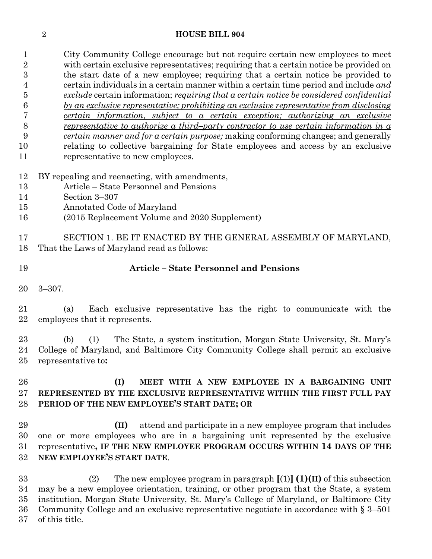#### **HOUSE BILL 904**

 City Community College encourage but not require certain new employees to meet with certain exclusive representatives; requiring that a certain notice be provided on the start date of a new employee; requiring that a certain notice be provided to certain individuals in a certain manner within a certain time period and include *and exclude* certain information; *requiring that a certain notice be considered confidential by an exclusive representative; prohibiting an exclusive representative from disclosing certain information, subject to a certain exception; authorizing an exclusive representative to authorize a third–party contractor to use certain information in a certain manner and for a certain purpose;* making conforming changes; and generally relating to collective bargaining for State employees and access by an exclusive representative to new employees.

BY repealing and reenacting, with amendments,

- Article State Personnel and Pensions
- Section 3–307
- Annotated Code of Maryland
- (2015 Replacement Volume and 2020 Supplement)

 SECTION 1. BE IT ENACTED BY THE GENERAL ASSEMBLY OF MARYLAND, That the Laws of Maryland read as follows:

# **Article – State Personnel and Pensions**

3–307.

 (a) Each exclusive representative has the right to communicate with the employees that it represents.

 (b) (1) The State, a system institution, Morgan State University, St. Mary's College of Maryland, and Baltimore City Community College shall permit an exclusive representative to**:**

# **(I) MEET WITH A NEW EMPLOYEE IN A BARGAINING UNIT REPRESENTED BY THE EXCLUSIVE REPRESENTATIVE WITHIN THE FIRST FULL PAY PERIOD OF THE NEW EMPLOYEE'S START DATE; OR**

 **(II)** attend and participate in a new employee program that includes one or more employees who are in a bargaining unit represented by the exclusive representative**, IF THE NEW EMPLOYEE PROGRAM OCCURS WITHIN 14 DAYS OF THE NEW EMPLOYEE'S START DATE**.

 (2) The new employee program in paragraph **[**(1)**] (1)(II)** of this subsection may be a new employee orientation, training, or other program that the State, a system institution, Morgan State University, St. Mary's College of Maryland, or Baltimore City Community College and an exclusive representative negotiate in accordance with § 3–501 of this title.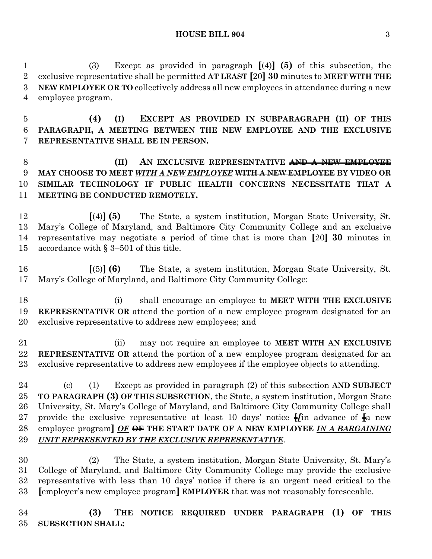(3) Except as provided in paragraph **[**(4)**] (5)** of this subsection, the exclusive representative shall be permitted **AT LEAST [**20**] 30** minutes to **MEET WITH THE NEW EMPLOYEE OR TO** collectively address all new employees in attendance during a new employee program.

 **(4) (I) EXCEPT AS PROVIDED IN SUBPARAGRAPH (II) OF THIS PARAGRAPH, A MEETING BETWEEN THE NEW EMPLOYEE AND THE EXCLUSIVE REPRESENTATIVE SHALL BE IN PERSON.**

# **(II) AN EXCLUSIVE REPRESENTATIVE AND A NEW EMPLOYEE MAY CHOOSE TO MEET** *WITH A NEW EMPLOYEE* **WITH A NEW EMPLOYEE BY VIDEO OR SIMILAR TECHNOLOGY IF PUBLIC HEALTH CONCERNS NECESSITATE THAT A MEETING BE CONDUCTED REMOTELY.**

 **[**(4)**] (5)** The State, a system institution, Morgan State University, St. Mary's College of Maryland, and Baltimore City Community College and an exclusive representative may negotiate a period of time that is more than **[**20**] 30** minutes in accordance with § 3–501 of this title.

 **[**(5)**] (6)** The State, a system institution, Morgan State University, St. Mary's College of Maryland, and Baltimore City Community College:

 (i) shall encourage an employee to **MEET WITH THE EXCLUSIVE REPRESENTATIVE OR** attend the portion of a new employee program designated for an exclusive representative to address new employees; and

 (ii) may not require an employee to **MEET WITH AN EXCLUSIVE REPRESENTATIVE OR** attend the portion of a new employee program designated for an exclusive representative to address new employees if the employee objects to attending.

 (c) (1) Except as provided in paragraph (2) of this subsection **AND SUBJECT TO PARAGRAPH (3) OF THIS SUBSECTION**, the State, a system institution, Morgan State University, St. Mary's College of Maryland, and Baltimore City Community College shall provide the exclusive representative at least 10 days' notice **[***[*in advance of **[**a new employee program**]** *OF* **OF THE START DATE OF A NEW EMPLOYEE** *IN A BARGAINING UNIT REPRESENTED BY THE EXCLUSIVE REPRESENTATIVE*.

 (2) The State, a system institution, Morgan State University, St. Mary's College of Maryland, and Baltimore City Community College may provide the exclusive representative with less than 10 days' notice if there is an urgent need critical to the **[**employer's new employee program**] EMPLOYER** that was not reasonably foreseeable.

 **(3) THE NOTICE REQUIRED UNDER PARAGRAPH (1) OF THIS SUBSECTION SHALL:**